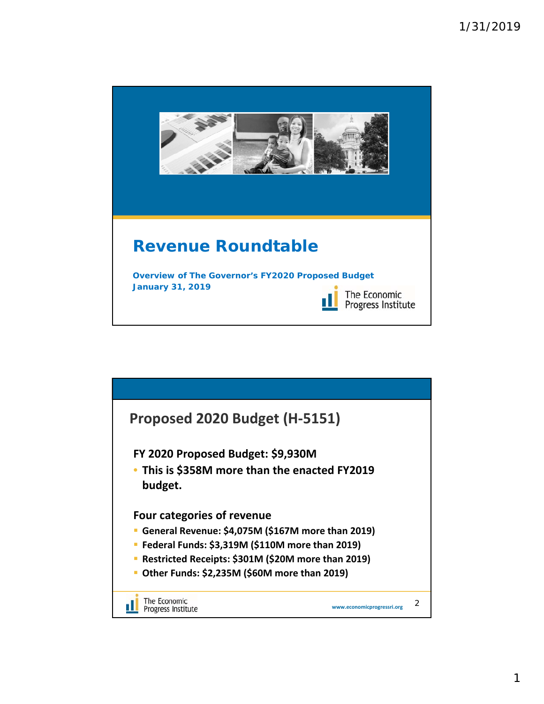

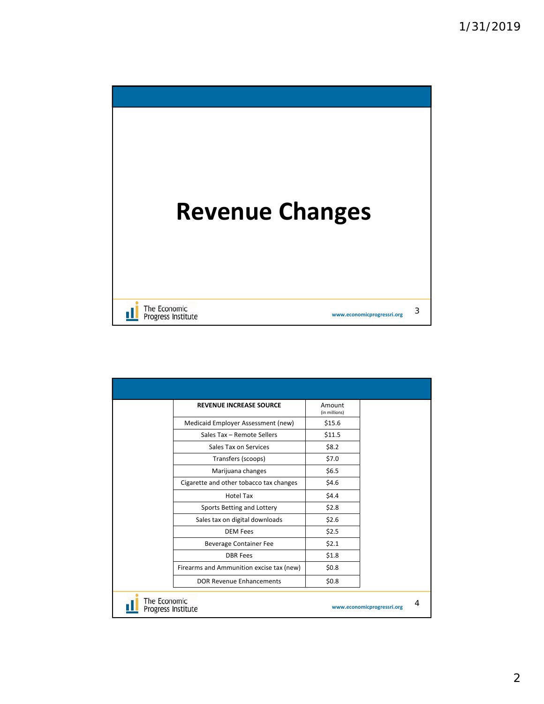

| <b>REVENUE INCREASE SOURCE</b>           | Amount<br>(in millions) |  |
|------------------------------------------|-------------------------|--|
| Medicaid Employer Assessment (new)       | \$15.6                  |  |
| Sales Tax - Remote Sellers               | \$11.5                  |  |
| Sales Tax on Services                    | \$8.2                   |  |
| Transfers (scoops)                       | \$7.0                   |  |
| Marijuana changes                        | \$6.5                   |  |
| Cigarette and other tobacco tax changes  | \$4.6                   |  |
| <b>Hotel Tax</b>                         | \$4.4                   |  |
| Sports Betting and Lottery               | \$2.8                   |  |
| Sales tax on digital downloads           | \$2.6                   |  |
| <b>DEM Fees</b>                          | \$2.5                   |  |
| Beverage Container Fee                   | \$2.1                   |  |
| <b>DBR</b> Fees                          | \$1.8                   |  |
| Firearms and Ammunition excise tax (new) | \$0.8\$                 |  |
| DOR Revenue Enhancements                 | \$0.8                   |  |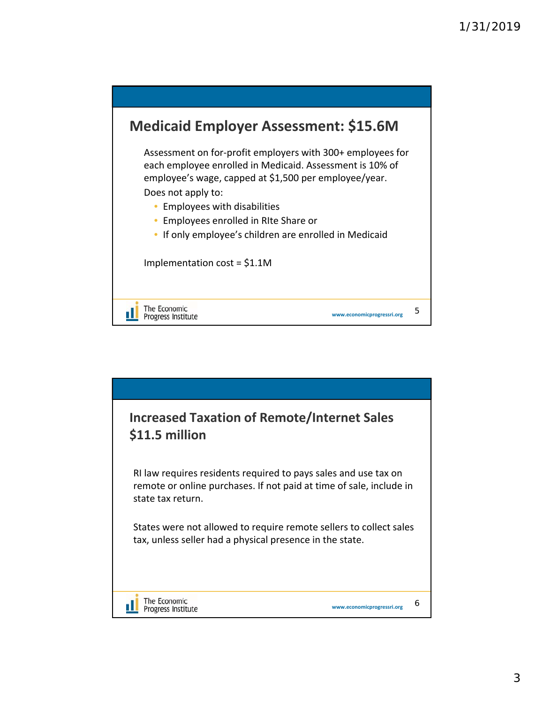

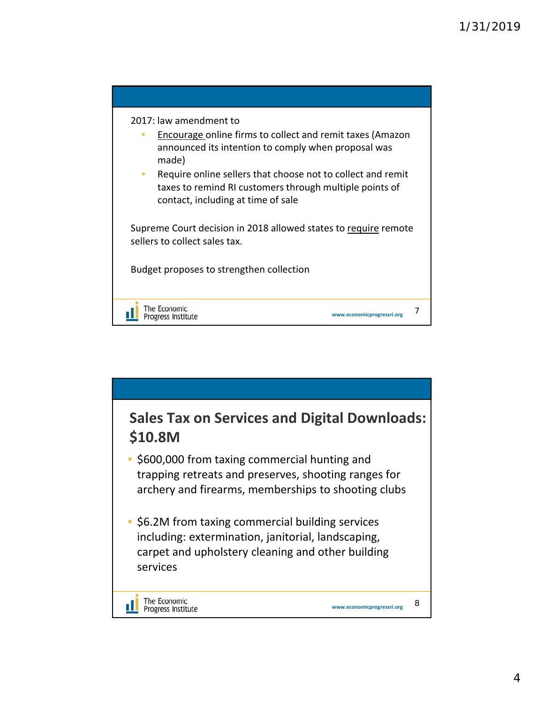

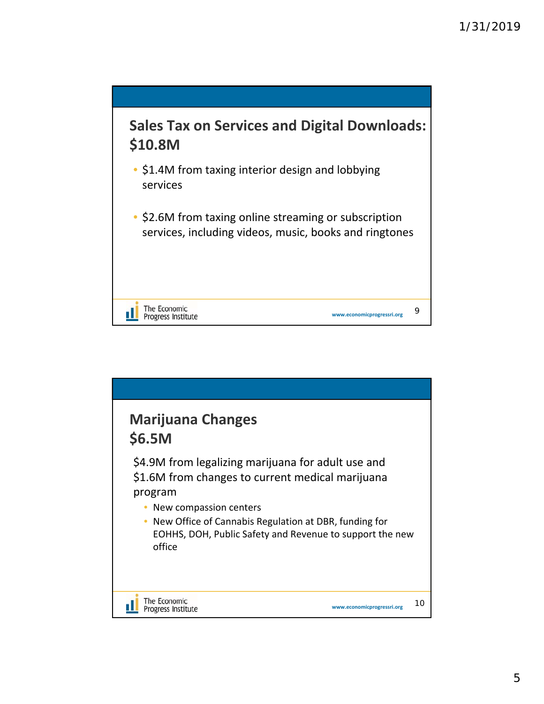

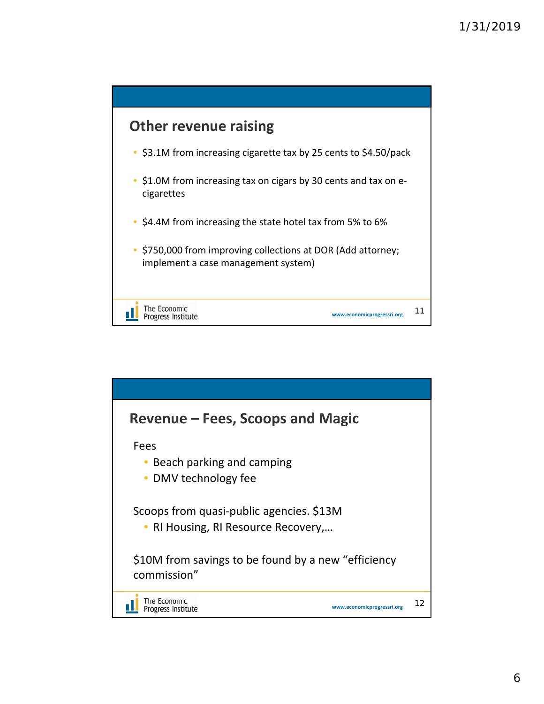

![](_page_5_Figure_2.jpeg)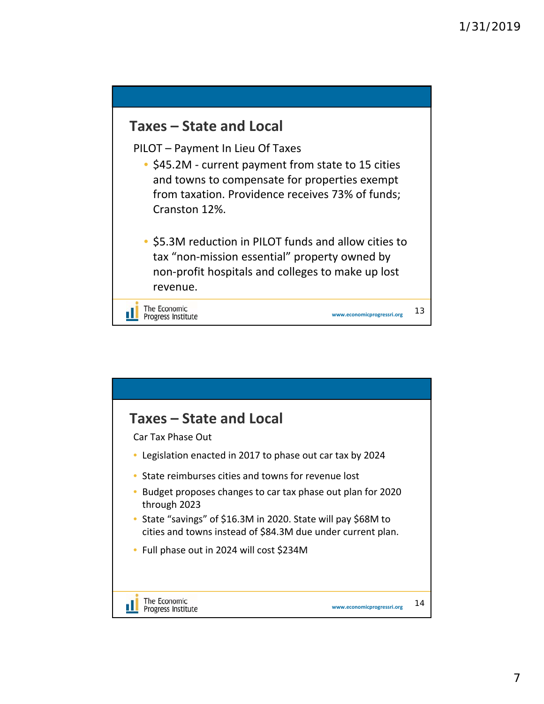![](_page_6_Figure_1.jpeg)

![](_page_6_Figure_2.jpeg)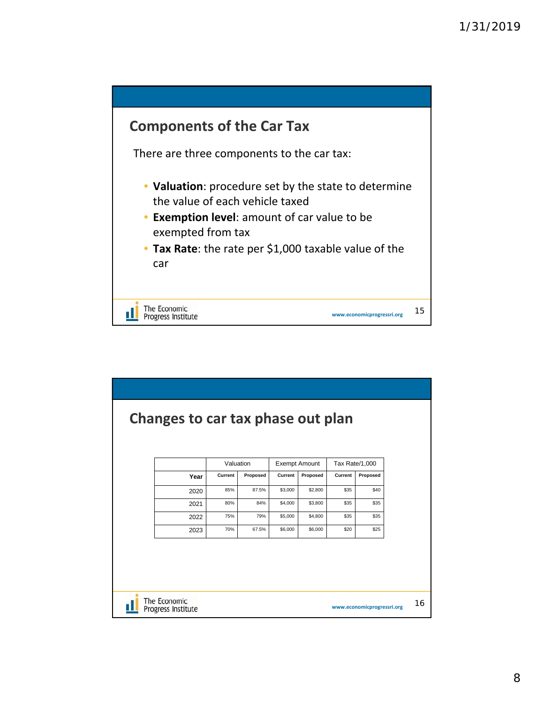![](_page_7_Figure_1.jpeg)

| Changes to car tax phase out plan  |      |                      |              |                    |                                  |              |                            |    |
|------------------------------------|------|----------------------|--------------|--------------------|----------------------------------|--------------|----------------------------|----|
|                                    | Year | Valuation<br>Current | Proposed     | Current            | <b>Exempt Amount</b><br>Proposed | Current      | Tax Rate/1,000<br>Proposed |    |
|                                    | 2020 | 85%                  | 87.5%        | \$3,000            | \$2,800                          | \$35         | \$40                       |    |
|                                    | 2021 | 80%                  | 84%          | \$4,000            | \$3,800                          | \$35         | \$35                       |    |
|                                    | 2022 | 75%<br>70%           | 79%<br>67.5% | \$5,000<br>\$6,000 | \$4,800<br>\$6,000               | \$35<br>\$20 | \$35<br>\$25               |    |
|                                    | 2023 |                      |              |                    |                                  |              |                            |    |
|                                    |      |                      |              |                    |                                  |              |                            |    |
|                                    |      |                      |              |                    |                                  |              |                            |    |
|                                    |      |                      |              |                    |                                  |              |                            |    |
| The Economic<br>Progress Institute |      |                      |              |                    |                                  |              | www.economicprogressri.org | 16 |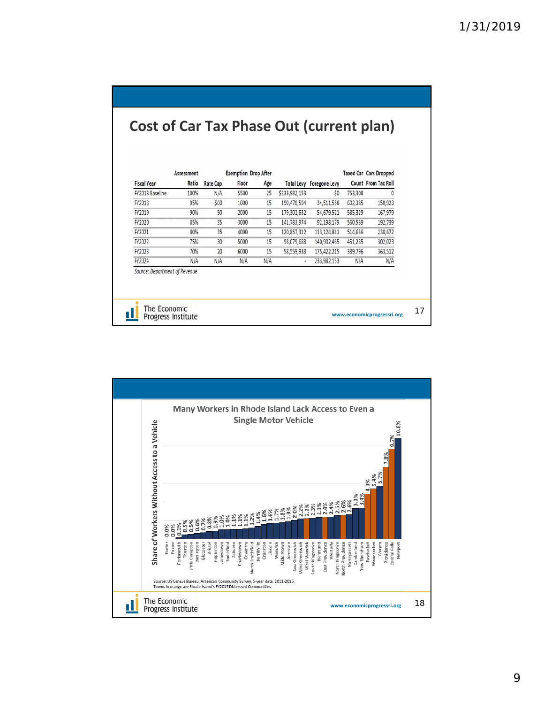|                                                   | Assessment |                 |       | <b>Exemption Drop After</b> |               |                          |         | <b>Taxed Car Cars Dropped</b> |
|---------------------------------------------------|------------|-----------------|-------|-----------------------------|---------------|--------------------------|---------|-------------------------------|
| <b>Fiscal Year</b>                                | Ratio      | <b>Rate Cap</b> | Floor | Age                         |               | Total Levy Foregone Levy |         | Count From Tax Roll           |
| FY2018 Baseline                                   | 100%       | N/A             | \$500 | 25                          | \$233,982,153 | \$0                      | 753,308 | 0                             |
| FY2018                                            | 95%        | \$60            | 1000  | 15                          | 199,470,594   | 34,511,558               | 602,385 | 150,923                       |
| FY2019                                            | 90%        | 50              | 2000  | 15                          | 179,302,632   | 54,679,521               | 585.329 | 167,979                       |
| FY2020                                            | 85%        | 35              | 3000  | 15                          | 141,783,974   | 92,198,179               | 560,569 | 192,739                       |
| FY2021                                            | 80%        | 35              | 4000  | 15                          | 120,857,312   | 113,124,841              | 514,636 | 238,672                       |
| FY2022                                            | 75%        | 30              | 5000  | 15                          | 93,079,688    | 140,902,465              | 451,285 | 302,023                       |
|                                                   | 70%        | 20              | 6000  | 15                          | 58,559,938    | 175,422,215              | 389,796 | 363,512                       |
|                                                   | N/A        | N/A             | N/A   | N/A                         | ٠             | 233,982,153              | N/A     | N/A                           |
| FY2023<br>FY2024<br>Source: Department of Revenue |            |                 |       |                             |               |                          |         |                               |

![](_page_8_Figure_2.jpeg)

9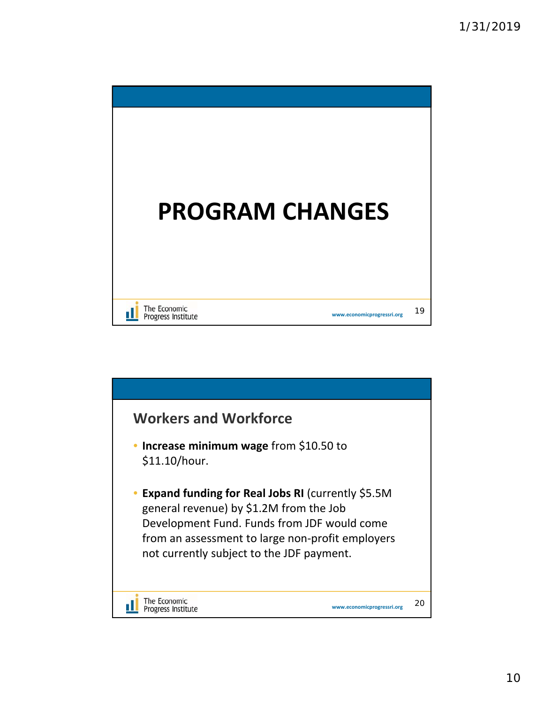![](_page_9_Picture_1.jpeg)

![](_page_9_Figure_2.jpeg)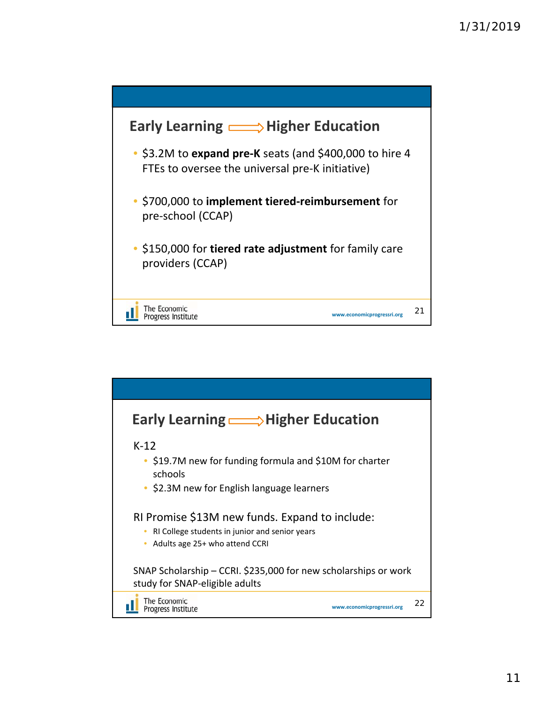![](_page_10_Figure_1.jpeg)

![](_page_10_Figure_2.jpeg)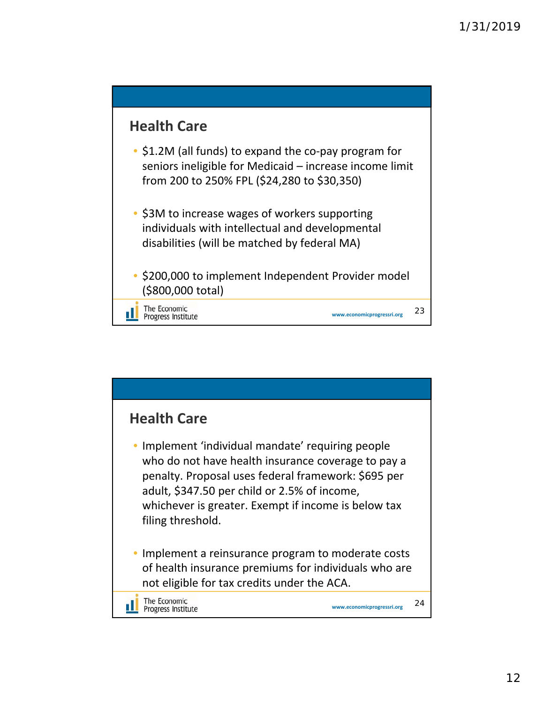![](_page_11_Figure_1.jpeg)

![](_page_11_Figure_2.jpeg)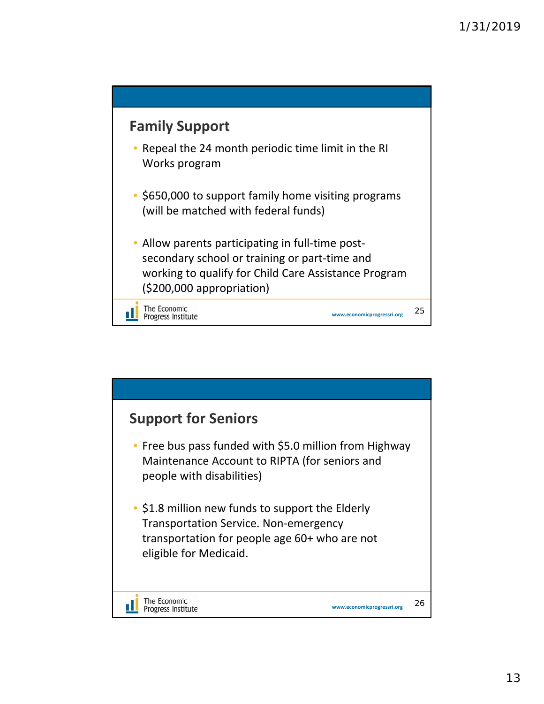![](_page_12_Figure_1.jpeg)

![](_page_12_Figure_2.jpeg)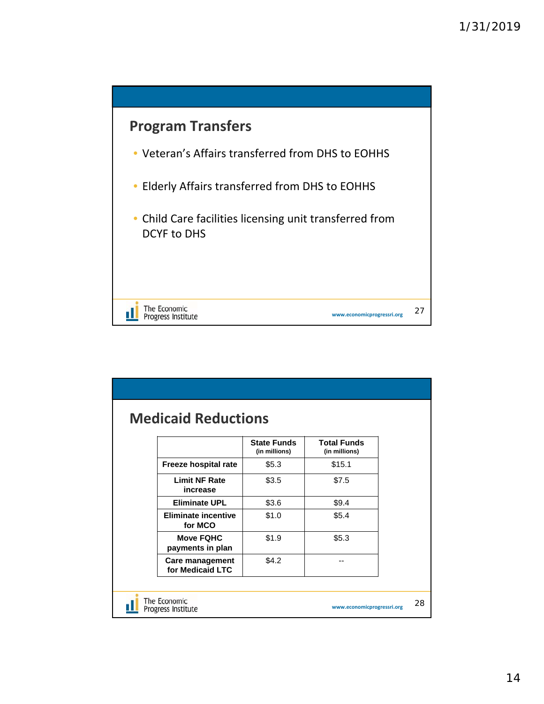![](_page_13_Figure_1.jpeg)

|                                      | <b>State Funds</b><br>(in millions) | <b>Total Funds</b><br>(in millions) |  |
|--------------------------------------|-------------------------------------|-------------------------------------|--|
| Freeze hospital rate                 | \$5.3\$                             | \$15.1                              |  |
| <b>Limit NF Rate</b><br>increase     | \$3.5                               | \$7.5                               |  |
| <b>Eliminate UPL</b>                 | \$3.6                               | \$9.4                               |  |
| Eliminate incentive<br>for MCO       | \$1.0                               | \$5.4                               |  |
| <b>Move FQHC</b><br>payments in plan | \$1.9                               | \$5.3                               |  |
| Care management<br>for Medicaid LTC  | \$4.2                               |                                     |  |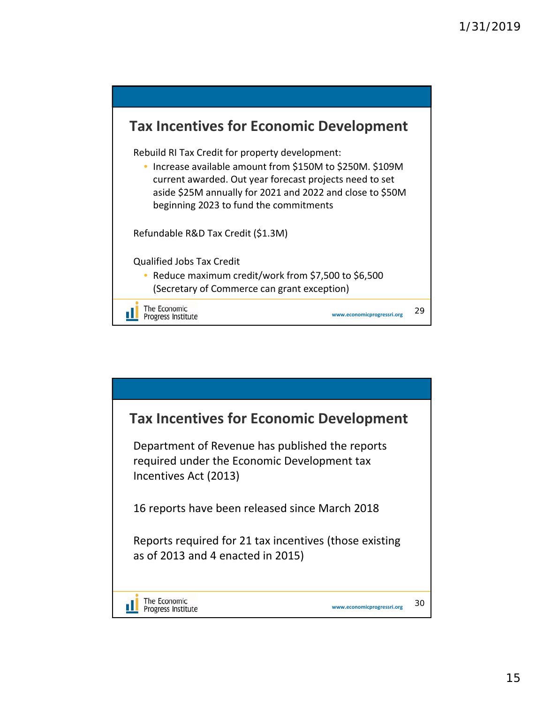![](_page_14_Figure_1.jpeg)

![](_page_14_Figure_2.jpeg)